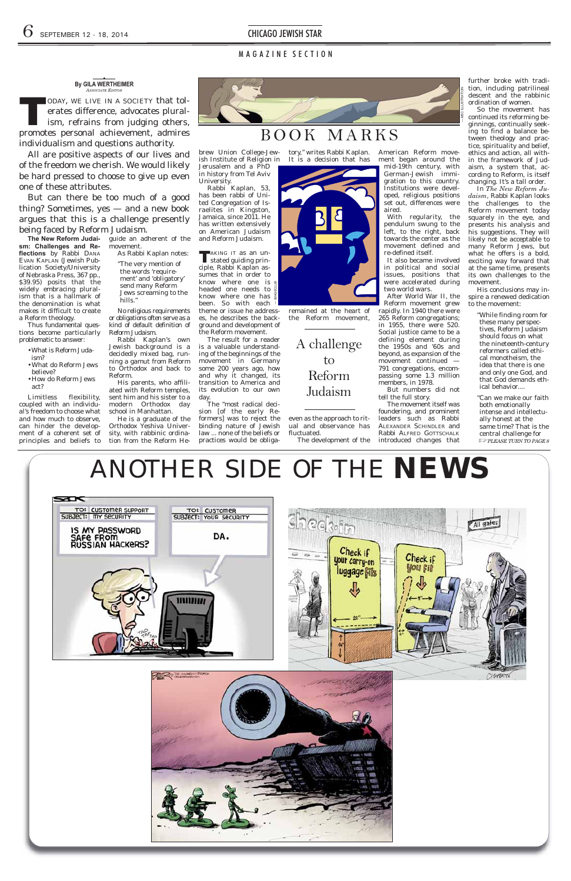Thus fundamental questions become particularly problematic to answer: • What is Reform Juda-

of Nebraska Press, 367 pp., \$39.95) posits that the widely embracing pluralism that is a hallmark of the denomination is what makes it difficult to create

a Reform theology.

**The New Reform Judaism: Challenges and Re**  guide an adherent of the movement.

flections by Rabbi DANA EVAN KAPLAN (Jewish Publication Society/University As Rabbi Kaplan notes: "The very mention of

ism?

No religious requirements or obligations often serve as a kind of default definition of Reform Judaism.

•What do Reform Jews

•How do Reform Jews

be lieve?

act?

Limitless flexibility, coupled with an individual's freedom to choose what and how much to observe, can hinder the development of a coherent set of principles and beliefs to

He is a graduate of the Orthodox Yeshiva Univer sity, with rabbinic ordination from the Reform He-



the words 'requirement' and 'obligatory' send many Reform Jews screaming to the hills."

University. Rabbi Kaplan, 53, has been rabbi of United Congregation of Israelites in Kingston, Jamaica, since 2011. He has written extensively on American Judaism and Reform Judaism.

Rabbi Kaplan's own Jewish background is a decidedly mixed bag, running a gamut from Reform to Orthodox and back to Reform.

His parents, who affili-





ated with Reform temples, sent him and his sister to a modern Orthodox day school in Manhattan.

even as the approach to ritual and observance has fluctuated. The development of the

After World War II, the Reform movement grew rapidly. In 1940 there were 265 Reform congregations; in 1955, there were 520. Social justice came to be a defining element during the 1950s and '60s and beyond, as expansion of the movement continued — 791 congregations, encompassing some 1.3 million members, in 1978.

further broke with tradition, including patrilineal descent and the rabbinic ordination of women.

brew Union College-Jew ish Institute of Religion in Jerusalem and a PhD in history from Tel Aviv tory," writes Rabbi Kaplan. It is a decision that has

The result for a reader is a valuable understanding of the beginnings of the movement in Germany some 200 years ago, how and why it changed, its transition to America and its evolution to our own day.

In *The New Reform Juda ism*, Rabbi Kaplan looks the challenges to the Reform movement today squarely in the eye, and presents his analysis and his suggestions. They will likely not be acceptable to many Reform Jews, but what he offers is a bold, exciting way forward that at the same time, presents its own challenges to the movement.

His conclusions may inspire a renewed dedication to the movement:

The "most radical decision [of the early Reformers] was to reject the binding nature of Jewish law ... none of the beliefs or practices would be obliga-

"Can we make our faith both emotionally intense and intellectually honest at the same time? That is the central challenge for *<b><i>I*  $\sqrt{P$ *PLEASE TURN TO PAGE 8* 

AND the contract of the state of the state of the state of the state of the state of the state of the state of the state of the state of the state of the state of the state of the state of the state of the state of the st ≖ TO: CUSTOMER SUPPORT TO: CUSTOMER SUBJECT: MY SECURITY SUBJECT: YOUR SECURITY All gales IS MY PASSWORD DA. **RUSSIAN HACKERS?** Check if Check if your carry-on luggage **Sils** ,,,,,,,,,



remained at the heart of the Reform movement,

ASSOCIATE EDITOR<br>
ODAY, WE LIVE IN A SOCIETY that tolerates difference, advocates plural-<br>
ism. refrains from judging others. erates difference, advocates pluralism, refrains from judging others, promotes personal achievement, admires individualism and questions authority.

All are positive aspects of our lives and of the freedom we cherish. We would likely be hard pressed to choose to give up even one of these attributes.

American Reform movement began around the mid-19th century, with German-Jewish immigration to this country. Institutions were developed, religious positions set out, differences were aired.

**TAKING IT as an un-**<br>stated guiding principle, Rabbi Kaplan assumes that in order to know where one is  $\equiv$ headed one needs to know where one has been. So with each theme or issue he addresses, he describes the background and development of the Reform movement. — IMAGECLUB

With regularity, the pendulum swung to the left, to the right, back towards the center as the movement de fined and re-defined itself.

It also became involved in political and social issues, positions that were accelerated during two world wars.

But numbers did not tell the full story.

The movement itself was foundering, and prominent leaders such as Rabbi ALEXANDER SCHINDLER and Rabbi ALFRED GOTTSCHALK introduced changes that

So the movement has continued its reforming be ginnings, continually seeking to find a balance between theology and practice, spirituality and belief, ethics and action, all within the framework of Judaism, a system that, according to Reform, is itself changing. It's a tall order.

> "While finding room for these many perspectives, Reform Judaism should focus on what the nineteenth-century reformers called ethical monotheism, the idea that there is one and only one God, and that God demands ethical behavior....

# M A G A Z I N E S E C T I O N

# BOOK MARKS

#### **By GILA WERTHEIMER** *ASSOCIATE EDITOR* ◆

But can there be too much of a good thing? Sometimes, yes — and a new book argues that this is a challenge presently being faced by Reform Judaism.